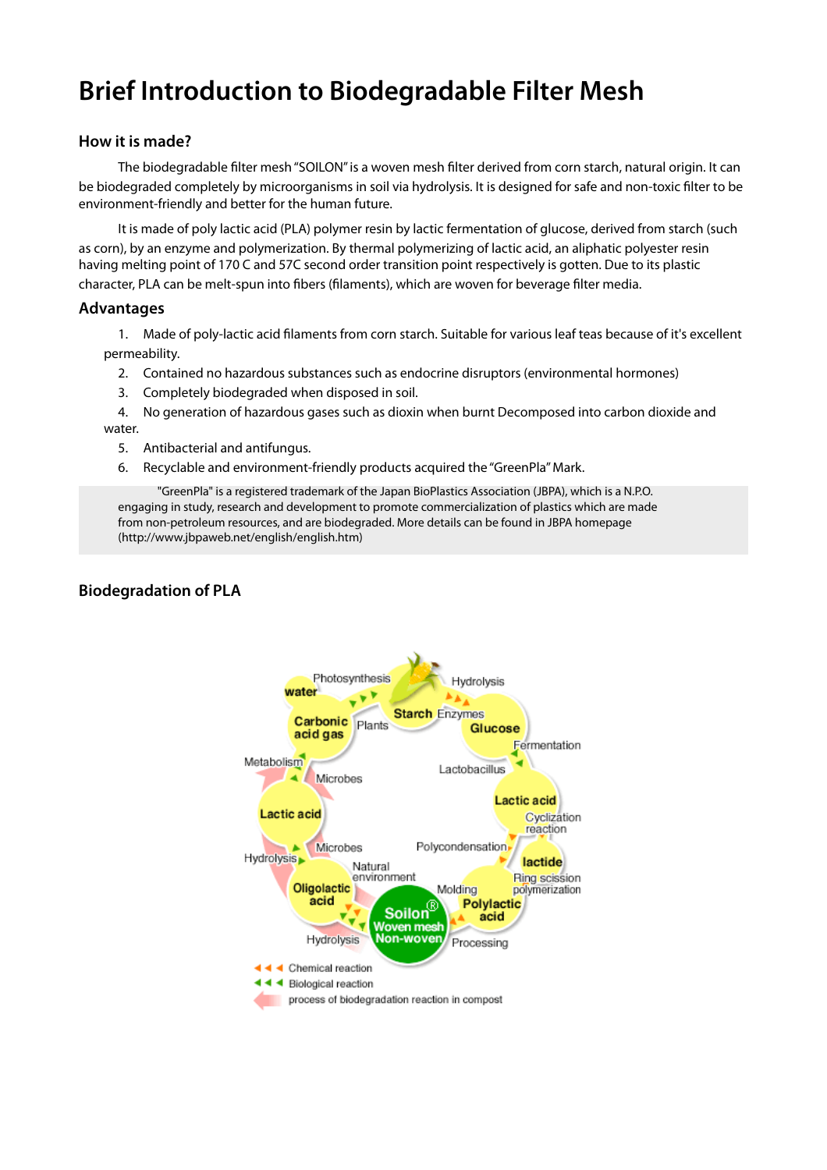# **Brief Introduction to Biodegradable Filter Mesh**

## **How it is made?**

The biodegradable filter mesh "SOILON" is a woven mesh filter derived from corn starch, natural origin. It can be biodegraded completely by microorganisms in soil via hydrolysis. It is designed for safe and non-toxic filter to be environment-friendly and better for the human future.

It is made of poly lactic acid (PLA) polymer resin by lactic fermentation of glucose, derived from starch (such as corn), by an enzyme and polymerization. By thermal polymerizing of lactic acid, an aliphatic polyester resin having melting point of 170 C and 57C second order transition point respectively is gotten. Due to its plastic character, PLA can be melt-spun into fibers (filaments), which are woven for beverage filter media.

## **Advantages**

1. Made of poly-lactic acid filaments from corn starch. Suitable for various leaf teas because of it's excellent permeability.

- 2. Contained no hazardous substances such as endocrine disruptors (environmental hormones)
- 3. Completely biodegraded when disposed in soil.

4. No generation of hazardous gases such as dioxin when burnt Decomposed into carbon dioxide and water.

- 5. Antibacterial and antifungus.
- 6. Recyclable and environment-friendly products acquired the "GreenPla" Mark.

"GreenPla" is a registered trademark of the Japan BioPlastics Association (JBPA), which is a N.P.O. engaging in study, research and development to promote commercialization of plastics which are made from non-petroleum resources, and are biodegraded. More details can be found in JBPA homepage (http://www.jbpaweb.net/english/english.htm)

## **Biodegradation of PLA**